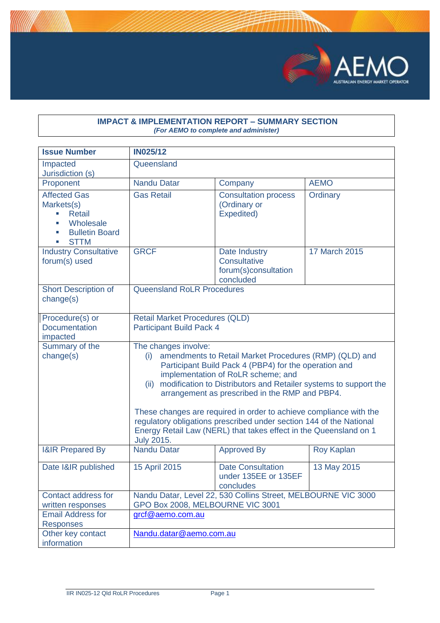

#### **IMPACT & IMPLEMENTATION REPORT – SUMMARY SECTION** *(For AEMO to complete and administer)*

| <b>Issue Number</b>                                                                                                      | <b>IN025/12</b>                                                                                                                                                                                                                                                                                                                                                                                                                                                                                                                                           |                                                                           |                      |
|--------------------------------------------------------------------------------------------------------------------------|-----------------------------------------------------------------------------------------------------------------------------------------------------------------------------------------------------------------------------------------------------------------------------------------------------------------------------------------------------------------------------------------------------------------------------------------------------------------------------------------------------------------------------------------------------------|---------------------------------------------------------------------------|----------------------|
| Impacted<br>Jurisdiction (s)                                                                                             | Queensland                                                                                                                                                                                                                                                                                                                                                                                                                                                                                                                                                |                                                                           |                      |
| Proponent                                                                                                                | <b>Nandu Datar</b>                                                                                                                                                                                                                                                                                                                                                                                                                                                                                                                                        | Company                                                                   | <b>AEMO</b>          |
| <b>Affected Gas</b><br>Markets(s)<br><b>Retail</b><br>Wholesale<br>×.<br><b>Bulletin Board</b><br>×,<br><b>STTM</b><br>٠ | <b>Gas Retail</b>                                                                                                                                                                                                                                                                                                                                                                                                                                                                                                                                         | <b>Consultation process</b><br>(Ordinary or<br>Expedited)                 | Ordinary             |
| <b>Industry Consultative</b><br>forum(s) used                                                                            | <b>GRCF</b>                                                                                                                                                                                                                                                                                                                                                                                                                                                                                                                                               | Date Industry<br><b>Consultative</b><br>forum(s)consultation<br>concluded | <b>17 March 2015</b> |
| <b>Short Description of</b><br>change(s)                                                                                 | <b>Queensland RoLR Procedures</b>                                                                                                                                                                                                                                                                                                                                                                                                                                                                                                                         |                                                                           |                      |
| Procedure(s) or<br><b>Documentation</b><br>impacted                                                                      | <b>Retail Market Procedures (QLD)</b><br><b>Participant Build Pack 4</b>                                                                                                                                                                                                                                                                                                                                                                                                                                                                                  |                                                                           |                      |
| Summary of the<br>change(s)                                                                                              | The changes involve:<br>amendments to Retail Market Procedures (RMP) (QLD) and<br>(i)<br>Participant Build Pack 4 (PBP4) for the operation and<br>implementation of RoLR scheme; and<br>modification to Distributors and Retailer systems to support the<br>(ii)<br>arrangement as prescribed in the RMP and PBP4.<br>These changes are required in order to achieve compliance with the<br>regulatory obligations prescribed under section 144 of the National<br>Energy Retail Law (NERL) that takes effect in the Queensland on 1<br><b>July 2015.</b> |                                                                           |                      |
| <b>I&amp;IR Prepared By</b>                                                                                              | <b>Nandu Datar</b>                                                                                                                                                                                                                                                                                                                                                                                                                                                                                                                                        | <b>Approved By</b>                                                        | <b>Roy Kaplan</b>    |
| Date I&IR published                                                                                                      | 15 April 2015                                                                                                                                                                                                                                                                                                                                                                                                                                                                                                                                             | <b>Date Consultation</b><br>under 135EE or 135EF<br>concludes             | 13 May 2015          |
| Contact address for<br>written responses                                                                                 | Nandu Datar, Level 22, 530 Collins Street, MELBOURNE VIC 3000<br>GPO Box 2008, MELBOURNE VIC 3001                                                                                                                                                                                                                                                                                                                                                                                                                                                         |                                                                           |                      |
| <b>Email Address for</b><br><b>Responses</b>                                                                             | grcf@aemo.com.au                                                                                                                                                                                                                                                                                                                                                                                                                                                                                                                                          |                                                                           |                      |
| Other key contact<br>information                                                                                         | Nandu.datar@aemo.com.au                                                                                                                                                                                                                                                                                                                                                                                                                                                                                                                                   |                                                                           |                      |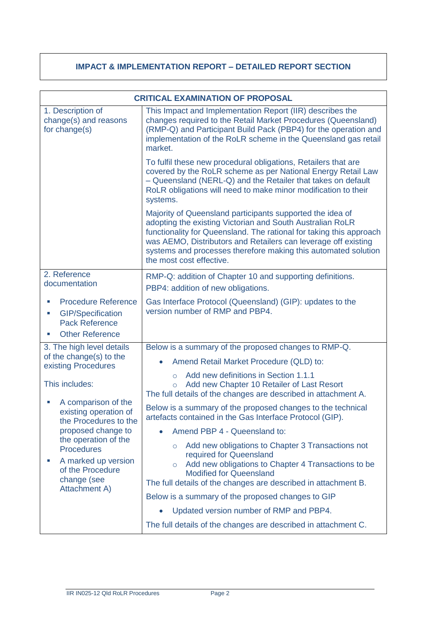# **IMPACT & IMPLEMENTATION REPORT – DETAILED REPORT SECTION**

|                                                                                                                      | <b>CRITICAL EXAMINATION OF PROPOSAL</b>                                                                                                                                                                                                                                                                                                                       |  |  |  |
|----------------------------------------------------------------------------------------------------------------------|---------------------------------------------------------------------------------------------------------------------------------------------------------------------------------------------------------------------------------------------------------------------------------------------------------------------------------------------------------------|--|--|--|
| 1. Description of<br>change(s) and reasons<br>for change(s)                                                          | This Impact and Implementation Report (IIR) describes the<br>changes required to the Retail Market Procedures (Queensland)<br>(RMP-Q) and Participant Build Pack (PBP4) for the operation and<br>implementation of the RoLR scheme in the Queensland gas retail<br>market.                                                                                    |  |  |  |
|                                                                                                                      | To fulfil these new procedural obligations, Retailers that are<br>covered by the RoLR scheme as per National Energy Retail Law<br>- Queensland (NERL-Q) and the Retailer that takes on default<br>RoLR obligations will need to make minor modification to their<br>systems.                                                                                  |  |  |  |
|                                                                                                                      | Majority of Queensland participants supported the idea of<br>adopting the existing Victorian and South Australian RoLR<br>functionality for Queensland. The rational for taking this approach<br>was AEMO, Distributors and Retailers can leverage off existing<br>systems and processes therefore making this automated solution<br>the most cost effective. |  |  |  |
| 2. Reference<br>documentation                                                                                        | RMP-Q: addition of Chapter 10 and supporting definitions.                                                                                                                                                                                                                                                                                                     |  |  |  |
|                                                                                                                      | PBP4: addition of new obligations.                                                                                                                                                                                                                                                                                                                            |  |  |  |
| <b>Procedure Reference</b><br><b>GIP/Specification</b><br>ш<br><b>Pack Reference</b><br><b>Other Reference</b>       | Gas Interface Protocol (Queensland) (GIP): updates to the<br>version number of RMP and PBP4.                                                                                                                                                                                                                                                                  |  |  |  |
| 3. The high level details                                                                                            | Below is a summary of the proposed changes to RMP-Q.                                                                                                                                                                                                                                                                                                          |  |  |  |
| of the change(s) to the<br>existing Procedures                                                                       | Amend Retail Market Procedure (QLD) to:                                                                                                                                                                                                                                                                                                                       |  |  |  |
| This includes:                                                                                                       | Add new definitions in Section 1.1.1<br>$\circ$<br>Add new Chapter 10 Retailer of Last Resort<br>$\circ$<br>The full details of the changes are described in attachment A.                                                                                                                                                                                    |  |  |  |
| A comparison of the<br>existing operation of<br>the Procedures to the                                                | Below is a summary of the proposed changes to the technical<br>artefacts contained in the Gas Interface Protocol (GIP).                                                                                                                                                                                                                                       |  |  |  |
| proposed change to                                                                                                   | Amend PBP 4 - Queensland to:                                                                                                                                                                                                                                                                                                                                  |  |  |  |
| the operation of the<br><b>Procedures</b><br>A marked up version<br>of the Procedure<br>change (see<br>Attachment A) | Add new obligations to Chapter 3 Transactions not<br>$\circ$<br>required for Queensland<br>Add new obligations to Chapter 4 Transactions to be<br>$\circ$<br><b>Modified for Queensland</b><br>The full details of the changes are described in attachment B.                                                                                                 |  |  |  |
|                                                                                                                      | Below is a summary of the proposed changes to GIP                                                                                                                                                                                                                                                                                                             |  |  |  |
|                                                                                                                      | Updated version number of RMP and PBP4.                                                                                                                                                                                                                                                                                                                       |  |  |  |
|                                                                                                                      | The full details of the changes are described in attachment C.                                                                                                                                                                                                                                                                                                |  |  |  |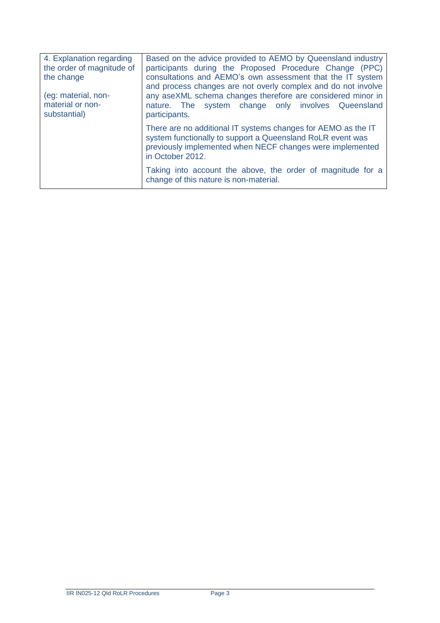| 4. Explanation regarding<br>the order of magnitude of<br>the change | Based on the advice provided to AEMO by Queensland industry<br>participants during the Proposed Procedure Change (PPC)<br>consultations and AEMO's own assessment that the IT system<br>and process changes are not overly complex and do not involve |
|---------------------------------------------------------------------|-------------------------------------------------------------------------------------------------------------------------------------------------------------------------------------------------------------------------------------------------------|
| (eg: material, non-<br>material or non-<br>substantial)             | any aseXML schema changes therefore are considered minor in<br>nature. The system change only involves Queensland<br>participants.                                                                                                                    |
|                                                                     | There are no additional IT systems changes for AEMO as the IT<br>system functionally to support a Queensland RoLR event was<br>previously implemented when NECF changes were implemented<br>in October 2012.                                          |
|                                                                     | Taking into account the above, the order of magnitude for a<br>change of this nature is non-material.                                                                                                                                                 |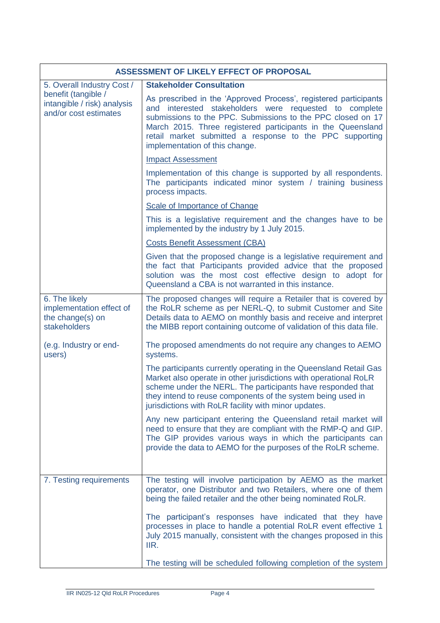|                                                                               | ASSESSMENT OF LIKELY EFFECT OF PROPOSAL                                                                                                                                                                                                                                                                                                                |
|-------------------------------------------------------------------------------|--------------------------------------------------------------------------------------------------------------------------------------------------------------------------------------------------------------------------------------------------------------------------------------------------------------------------------------------------------|
| 5. Overall Industry Cost /                                                    | <b>Stakeholder Consultation</b>                                                                                                                                                                                                                                                                                                                        |
| benefit (tangible /<br>intangible / risk) analysis<br>and/or cost estimates   | As prescribed in the 'Approved Process', registered participants<br>and interested stakeholders were requested to complete<br>submissions to the PPC. Submissions to the PPC closed on 17<br>March 2015. Three registered participants in the Queensland<br>retail market submitted a response to the PPC supporting<br>implementation of this change. |
|                                                                               | <b>Impact Assessment</b>                                                                                                                                                                                                                                                                                                                               |
|                                                                               | Implementation of this change is supported by all respondents.<br>The participants indicated minor system / training business<br>process impacts.                                                                                                                                                                                                      |
|                                                                               | Scale of Importance of Change                                                                                                                                                                                                                                                                                                                          |
|                                                                               | This is a legislative requirement and the changes have to be<br>implemented by the industry by 1 July 2015.                                                                                                                                                                                                                                            |
|                                                                               | <b>Costs Benefit Assessment (CBA)</b>                                                                                                                                                                                                                                                                                                                  |
|                                                                               | Given that the proposed change is a legislative requirement and<br>the fact that Participants provided advice that the proposed<br>solution was the most cost effective design to adopt for<br>Queensland a CBA is not warranted in this instance.                                                                                                     |
| 6. The likely<br>implementation effect of<br>the change(s) on<br>stakeholders | The proposed changes will require a Retailer that is covered by<br>the RoLR scheme as per NERL-Q, to submit Customer and Site<br>Details data to AEMO on monthly basis and receive and interpret<br>the MIBB report containing outcome of validation of this data file.                                                                                |
| (e.g. Industry or end-<br>users)                                              | The proposed amendments do not require any changes to AEMO<br>systems.                                                                                                                                                                                                                                                                                 |
|                                                                               | The participants currently operating in the Queensland Retail Gas<br>Market also operate in other jurisdictions with operational RoLR<br>scheme under the NERL. The participants have responded that<br>they intend to reuse components of the system being used in<br>jurisdictions with RoLR facility with minor updates.                            |
|                                                                               | Any new participant entering the Queensland retail market will<br>need to ensure that they are compliant with the RMP-Q and GIP.<br>The GIP provides various ways in which the participants can<br>provide the data to AEMO for the purposes of the RoLR scheme.                                                                                       |
| 7. Testing requirements                                                       | The testing will involve participation by AEMO as the market<br>operator, one Distributor and two Retailers, where one of them<br>being the failed retailer and the other being nominated RoLR.                                                                                                                                                        |
|                                                                               | The participant's responses have indicated that they have<br>processes in place to handle a potential RoLR event effective 1<br>July 2015 manually, consistent with the changes proposed in this<br>IIR.                                                                                                                                               |
|                                                                               | The testing will be scheduled following completion of the system                                                                                                                                                                                                                                                                                       |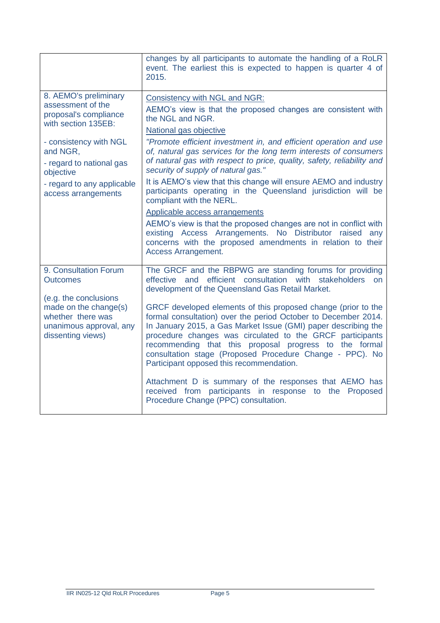|                                                                                                                                                              | changes by all participants to automate the handling of a RoLR<br>event. The earliest this is expected to happen is quarter 4 of<br>2015.                                                                                                                                                                                                                                                                                        |
|--------------------------------------------------------------------------------------------------------------------------------------------------------------|----------------------------------------------------------------------------------------------------------------------------------------------------------------------------------------------------------------------------------------------------------------------------------------------------------------------------------------------------------------------------------------------------------------------------------|
| 8. AEMO's preliminary<br>assessment of the<br>proposal's compliance<br>with section 135EB:<br>- consistency with NGL<br>and NGR,<br>- regard to national gas | <b>Consistency with NGL and NGR:</b><br>AEMO's view is that the proposed changes are consistent with<br>the NGL and NGR.<br>National gas objective<br>"Promote efficient investment in, and efficient operation and use<br>of, natural gas services for the long term interests of consumers<br>of natural gas with respect to price, quality, safety, reliability and                                                           |
| objective<br>- regard to any applicable<br>access arrangements                                                                                               | security of supply of natural gas."<br>It is AEMO's view that this change will ensure AEMO and industry<br>participants operating in the Queensland jurisdiction will be<br>compliant with the NERL.                                                                                                                                                                                                                             |
|                                                                                                                                                              | <b>Applicable access arrangements</b><br>AEMO's view is that the proposed changes are not in conflict with<br>existing Access Arrangements. No Distributor raised any<br>concerns with the proposed amendments in relation to their<br><b>Access Arrangement.</b>                                                                                                                                                                |
| 9. Consultation Forum<br><b>Outcomes</b><br>(e.g. the conclusions                                                                                            | The GRCF and the RBPWG are standing forums for providing<br>effective and efficient consultation with stakeholders<br>on<br>development of the Queensland Gas Retail Market.                                                                                                                                                                                                                                                     |
| made on the change(s)<br>whether there was<br>unanimous approval, any<br>dissenting views)                                                                   | GRCF developed elements of this proposed change (prior to the<br>formal consultation) over the period October to December 2014.<br>In January 2015, a Gas Market Issue (GMI) paper describing the<br>procedure changes was circulated to the GRCF participants<br>recommending that this proposal progress to the formal<br>consultation stage (Proposed Procedure Change - PPC). No<br>Participant opposed this recommendation. |
|                                                                                                                                                              | Attachment D is summary of the responses that AEMO has<br>received from participants in response to the Proposed<br>Procedure Change (PPC) consultation.                                                                                                                                                                                                                                                                         |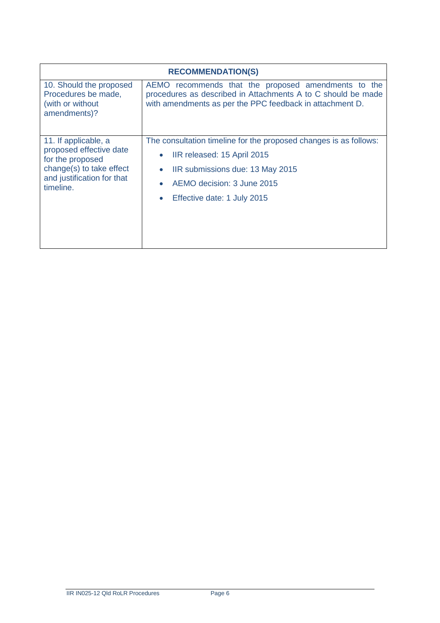| <b>RECOMMENDATION(S)</b>                                                                                                                   |                                                                                                                                                                                                   |  |  |
|--------------------------------------------------------------------------------------------------------------------------------------------|---------------------------------------------------------------------------------------------------------------------------------------------------------------------------------------------------|--|--|
| 10. Should the proposed<br>Procedures be made,<br>(with or without<br>amendments)?                                                         | AEMO recommends that the proposed amendments to the<br>procedures as described in Attachments A to C should be made<br>with amendments as per the PPC feedback in attachment D.                   |  |  |
| 11. If applicable, a<br>proposed effective date<br>for the proposed<br>change(s) to take effect<br>and justification for that<br>timeline. | The consultation timeline for the proposed changes is as follows:<br>IIR released: 15 April 2015<br>IIR submissions due: 13 May 2015<br>AEMO decision: 3 June 2015<br>Effective date: 1 July 2015 |  |  |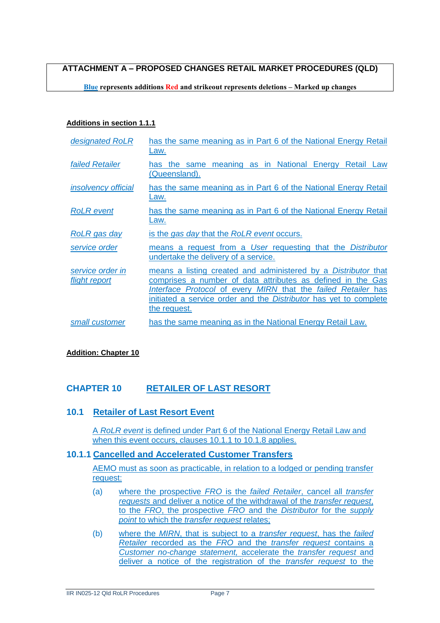**ATTACHMENT A – PROPOSED CHANGES RETAIL MARKET PROCEDURES (QLD)**

**Blue represents additions Red and strikeout represents deletions – Marked up changes**

#### **Additions in section 1.1.1**

| designated RoLR                   | has the same meaning as in Part 6 of the National Energy Retail<br>Law.                                                                                                                                                                                                                    |
|-----------------------------------|--------------------------------------------------------------------------------------------------------------------------------------------------------------------------------------------------------------------------------------------------------------------------------------------|
| <b>failed Retailer</b>            | has the same meaning as in National Energy Retail Law<br>(Queensland).                                                                                                                                                                                                                     |
| <i>insolvency official</i>        | has the same meaning as in Part 6 of the National Energy Retail<br>Law.                                                                                                                                                                                                                    |
| <b>RoLR</b> event                 | has the same meaning as in Part 6 of the National Energy Retail<br>Law.                                                                                                                                                                                                                    |
| RoLR gas day                      | is the gas day that the RoLR event occurs.                                                                                                                                                                                                                                                 |
| service order                     | means a request from a User requesting that the Distributor<br>undertake the delivery of a service.                                                                                                                                                                                        |
| service order in<br>flight report | means a listing created and administered by a <i>Distributor</i> that<br>comprises a number of data attributes as defined in the Gas<br>Interface Protocol of every MIRN that the failed Retailer has<br>initiated a service order and the Distributor has yet to complete<br>the request. |
| small customer                    | has the same meaning as in the National Energy Retail Law.                                                                                                                                                                                                                                 |

#### **Addition: Chapter 10**

## **CHAPTER 10 RETAILER OF LAST RESORT**

## **10.1 Retailer of Last Resort Event**

A *RoLR event* is defined under Part 6 of the National Energy Retail Law and when this event occurs, clauses 10.1.1 to 10.1.8 applies.

#### **10.1.1 Cancelled and Accelerated Customer Transfers**

AEMO must as soon as practicable, in relation to a lodged or pending transfer request:

- (a) where the prospective *FRO* is the *failed Retailer*, cancel all *transfer requests* and deliver a notice of the withdrawal of the *transfer request*, to the *FRO*, the prospective *FRO* and the *Distributor* for the *supply point* to which the *transfer request* relates;
- (b) where the *MIRN*, that is subject to a *transfer request*, has the *failed Retailer* recorded as the *FRO* and the *transfer request* contains a *Customer no-change statement,* accelerate the *transfer request* and deliver a notice of the registration of the *transfer request* to the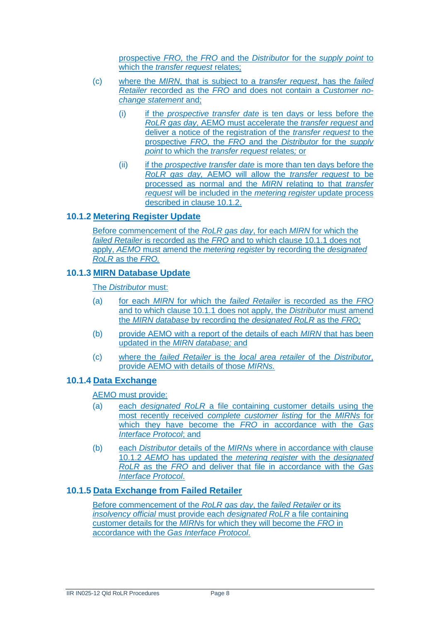prospective *FRO,* the *FRO* and the *Distributor* for the *supply point* to which the *transfer request* relates;

- (c) where the *MIRN*, that is subject to a *transfer request*, has the *failed Retailer* recorded as the *FRO* and does not contain a *Customer nochange statement* and;
	- (i) if the *prospective transfer date* is ten days or less before the *RoLR gas day,* AEMO must accelerate the *transfer request* and deliver a notice of the registration of the *transfer request* to the prospective *FRO,* the *FRO* and the *Distributor* for the *supply point* to which the *transfer request* relates*;* or
	- (ii) if the *prospective transfer date* is more than ten days before the *RoLR gas day,* AEMO will allow the *transfer request* to be processed as normal and the *MIRN* relating to that *transfer request* will be included in the *metering register* update process described in clause 10.1.2.

## **10.1.2 Metering Register Update**

Before commencement of the *RoLR gas day*, for each *MIRN* for which the *failed Retailer* is recorded as the *FRO* and to which clause 10.1.1 does not apply, *AEMO* must amend the *metering register* by recording the *designated RoLR* as the *FRO.*

#### **10.1.3 MIRN Database Update**

The *Distributor* must:

- (a) for each *MIRN* for which the *failed Retailer* is recorded as the *FRO* and to which clause 10.1.1 does not apply, the *Distributor* must amend the *MIRN database* by recording the *designated RoLR* as the *FRO;*
- (b) provide AEMO with a report of the details of each *MIRN* that has been updated in the *MIRN database;* and
- (c) where the *failed Retailer* is the *local area retailer* of the *Distributor*, provide AEMO with details of those *MIRNs.*

## **10.1.4 Data Exchange**

#### AEMO must provide:

- (a) each *designated RoLR* a file containing customer details using the most recently received *complete customer listing* for the *MIRNs* for which they have become the *FRO* in accordance with the *Gas Interface Protocol*; and
- (b) each *Distributor* details of the *MIRNs* where in accordance with clause 10.1.2 *AEMO* has updated the *metering register* with the *designated RoLR* as the *FRO* and deliver that file in accordance with the *Gas Interface Protocol*.

## **10.1.5 Data Exchange from Failed Retailer**

Before commencement of the *RoLR gas day*, the *failed Retailer* or its *insolvency official* must provide each *designated RoLR* a file containing customer details for the *MIRN*s for which they will become the *FRO* in accordance with the *Gas Interface Protocol*.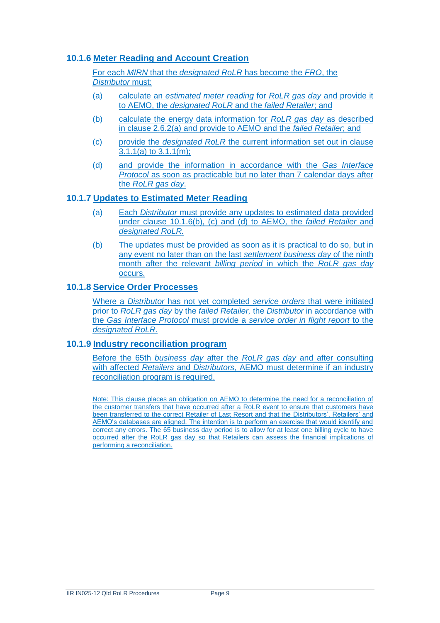## **10.1.6 Meter Reading and Account Creation**

For each *MIRN* that the *designated RoLR* has become the *FRO*, the *Distributor* must:

- (a) calculate an *estimated meter reading* for *RoLR gas day* and provide it to AEMO, the *designated RoLR* and the *failed Retailer*; and
- (b) calculate the energy data information for *RoLR gas day* as described in clause 2.6.2(a) and provide to AEMO and the *failed Retailer*; and
- (c) provide the *designated RoLR* the current information set out in clause 3.1.1(a) to 3.1.1(m);
- (d) and provide the information in accordance with the *Gas Interface Protocol* as soon as practicable but no later than 7 calendar days after the *RoLR gas day*.

#### **10.1.7 Updates to Estimated Meter Reading**

- (a) Each *Distributor* must provide any updates to estimated data provided under clause 10.1.6(b), (c) and (d) to AEMO*,* the *failed Retailer* and *designated RoLR.*
- (b) The updates must be provided as soon as it is practical to do so, but in any event no later than on the last *settlement business day* of the ninth month after the relevant *billing period* in which the *RoLR gas day* occurs.

#### **10.1.8 Service Order Processes**

Where a *Distributor* has not yet completed *service orders* that were initiated prior to *RoLR gas day* by the *failed Retailer,* the *Distributor* in accordance with the *Gas Interface Protocol* must provide a *service order in flight report* to the *designated RoLR.*

#### **10.1.9 Industry reconciliation program**

Before the 65th *business day* after the *RoLR gas day* and after consulting with affected *Retailers* and *Distributors,* AEMO must determine if an industry reconciliation program is required.

Note: This clause places an obligation on AEMO to determine the need for a reconciliation of the customer transfers that have occurred after a RoLR event to ensure that customers have been transferred to the correct Retailer of Last Resort and that the Distributors', Retailers' and AEMO's databases are aligned. The intention is to perform an exercise that would identify and correct any errors. The 65 business day period is to allow for at least one billing cycle to have occurred after the RoLR gas day so that Retailers can assess the financial implications of performing a reconciliation.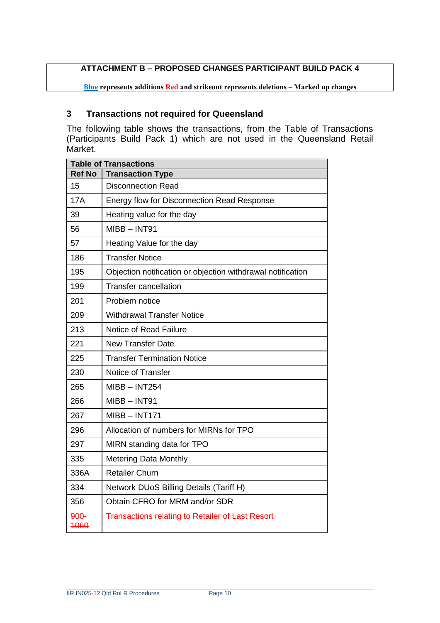## **ATTACHMENT B – PROPOSED CHANGES PARTICIPANT BUILD PACK 4**

**Blue represents additions Red and strikeout represents deletions – Marked up changes**

## **Transactions not required for Queensland**

The following table shows the transactions, from the Table of Transactions (Participants Build Pack 1) which are not used in the Queensland Retail Market.

| <b>Table of Transactions</b> |                                                             |  |  |  |
|------------------------------|-------------------------------------------------------------|--|--|--|
| <b>Ref No</b>                | <b>Transaction Type</b>                                     |  |  |  |
| 15                           | <b>Disconnection Read</b>                                   |  |  |  |
| <b>17A</b>                   | Energy flow for Disconnection Read Response                 |  |  |  |
| 39                           | Heating value for the day                                   |  |  |  |
| 56                           | $MIBB - INT91$                                              |  |  |  |
| 57                           | Heating Value for the day                                   |  |  |  |
| 186                          | <b>Transfer Notice</b>                                      |  |  |  |
| 195                          | Objection notification or objection withdrawal notification |  |  |  |
| 199                          | <b>Transfer cancellation</b>                                |  |  |  |
| 201                          | Problem notice                                              |  |  |  |
| 209                          | <b>Withdrawal Transfer Notice</b>                           |  |  |  |
| 213                          | Notice of Read Failure                                      |  |  |  |
| 221                          | <b>New Transfer Date</b>                                    |  |  |  |
| 225                          | <b>Transfer Termination Notice</b>                          |  |  |  |
| 230                          | Notice of Transfer                                          |  |  |  |
| 265                          | $MIBB - INT254$                                             |  |  |  |
| 266                          | $MIBB - INT91$                                              |  |  |  |
| 267                          | $MIBB - INT171$                                             |  |  |  |
| 296                          | Allocation of numbers for MIRNs for TPO                     |  |  |  |
| 297                          | MIRN standing data for TPO                                  |  |  |  |
| 335                          | <b>Metering Data Monthly</b>                                |  |  |  |
| 336A                         | <b>Retailer Churn</b>                                       |  |  |  |
| 334                          | Network DUoS Billing Details (Tariff H)                     |  |  |  |
| 356                          | Obtain CFRO for MRM and/or SDR                              |  |  |  |
| 900-<br>4060                 | <b>Transactions relating to Retailer of Last Resort</b>     |  |  |  |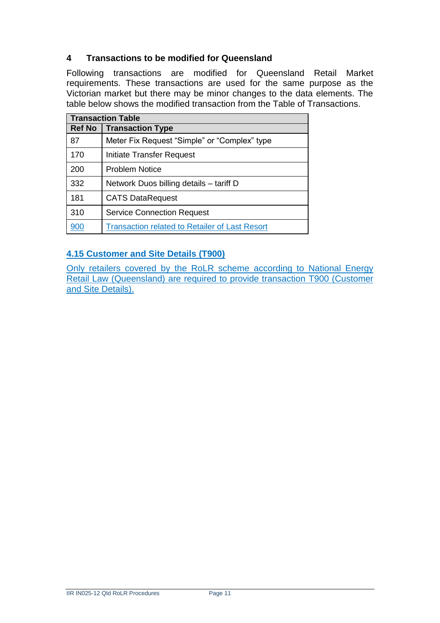# **4 Transactions to be modified for Queensland**

Following transactions are modified for Queensland Retail Market requirements. These transactions are used for the same purpose as the Victorian market but there may be minor changes to the data elements. The table below shows the modified transaction from the Table of Transactions.

| <b>Transaction Table</b> |                                                       |  |  |
|--------------------------|-------------------------------------------------------|--|--|
| <b>Ref No</b>            | <b>Transaction Type</b>                               |  |  |
| 87                       | Meter Fix Request "Simple" or "Complex" type          |  |  |
| 170                      | Initiate Transfer Request                             |  |  |
| 200                      | Problem Notice                                        |  |  |
| 332                      | Network Duos billing details – tariff D               |  |  |
| 181                      | <b>CATS DataRequest</b>                               |  |  |
| 310                      | <b>Service Connection Request</b>                     |  |  |
| 900                      | <b>Transaction related to Retailer of Last Resort</b> |  |  |

# **4.15 Customer and Site Details (T900)**

Only retailers covered by the RoLR scheme according to National Energy Retail Law (Queensland) are required to provide transaction T900 (Customer and Site Details).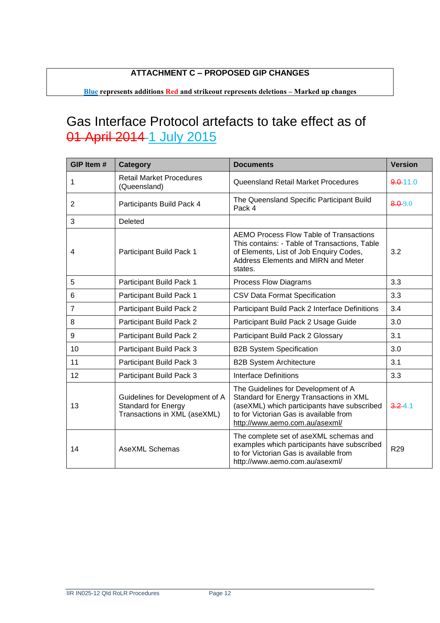# **ATTACHMENT C – PROPOSED GIP CHANGES**

**Blue represents additions Red and strikeout represents deletions – Marked up changes**

# Gas Interface Protocol artefacts to take effect as of 01 April 2014 1 July 2015

| GIP Item #     | <b>Category</b>                                                                               | <b>Documents</b>                                                                                                                                                                                          | <b>Version</b> |
|----------------|-----------------------------------------------------------------------------------------------|-----------------------------------------------------------------------------------------------------------------------------------------------------------------------------------------------------------|----------------|
| 1              | <b>Retail Market Procedures</b><br>(Queensland)                                               | Queensland Retail Market Procedures                                                                                                                                                                       | $9.0 - 11.0$   |
| 2              | Participants Build Pack 4                                                                     | The Queensland Specific Participant Build<br>Pack 4                                                                                                                                                       | $8.0 - 9.0$    |
| 3              | Deleted                                                                                       |                                                                                                                                                                                                           |                |
| 4              | Participant Build Pack 1                                                                      | AEMO Process Flow Table of Transactions<br>This contains: - Table of Transactions, Table<br>of Elements, List of Job Enquiry Codes,<br>Address Elements and MIRN and Meter<br>states.                     | 3.2            |
| 5              | Participant Build Pack 1                                                                      | <b>Process Flow Diagrams</b>                                                                                                                                                                              | 3.3            |
| 6              | Participant Build Pack 1                                                                      | <b>CSV Data Format Specification</b>                                                                                                                                                                      | 3.3            |
| $\overline{7}$ | Participant Build Pack 2                                                                      | Participant Build Pack 2 Interface Definitions                                                                                                                                                            | 3.4            |
| 8              | Participant Build Pack 2                                                                      | Participant Build Pack 2 Usage Guide                                                                                                                                                                      | 3.0            |
| 9              | Participant Build Pack 2                                                                      | Participant Build Pack 2 Glossary                                                                                                                                                                         | 3.1            |
| 10             | Participant Build Pack 3                                                                      | <b>B2B System Specification</b>                                                                                                                                                                           | 3.0            |
| 11             | Participant Build Pack 3                                                                      | <b>B2B System Architecture</b>                                                                                                                                                                            | 3.1            |
| 12             | Participant Build Pack 3                                                                      | Interface Definitions                                                                                                                                                                                     | 3.3            |
| 13             | Guidelines for Development of A<br><b>Standard for Energy</b><br>Transactions in XML (aseXML) | The Guidelines for Development of A<br>Standard for Energy Transactions in XML<br>(aseXML) which participants have subscribed<br>to for Victorian Gas is available from<br>http://www.aemo.com.au/asexml/ | $3.2 - 4.1$    |
| 14             | <b>AseXML Schemas</b>                                                                         | The complete set of aseXML schemas and<br>examples which participants have subscribed<br>to for Victorian Gas is available from<br>http://www.aemo.com.au/asexml/                                         | <b>R29</b>     |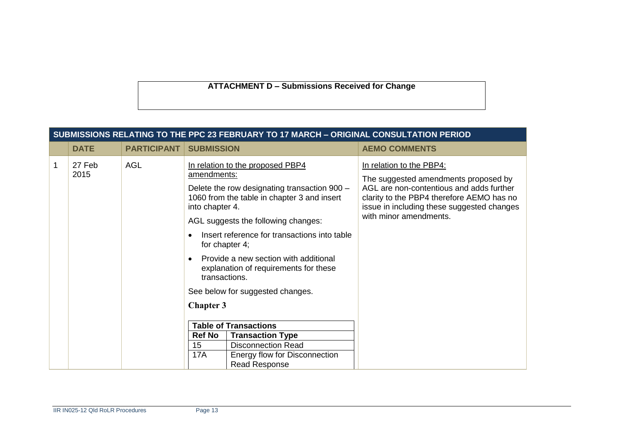**ATTACHMENT D – Submissions Received for Change**

|   | SUBMISSIONS RELATING TO THE PPC 23 FEBRUARY TO 17 MARCH - ORIGINAL CONSULTATION PERIOD |                    |                                                                                                                                                                                                                                                                                                                                                                                                                                                                                                                                                      |                                                                                                                                                                                                                                   |  |  |
|---|----------------------------------------------------------------------------------------|--------------------|------------------------------------------------------------------------------------------------------------------------------------------------------------------------------------------------------------------------------------------------------------------------------------------------------------------------------------------------------------------------------------------------------------------------------------------------------------------------------------------------------------------------------------------------------|-----------------------------------------------------------------------------------------------------------------------------------------------------------------------------------------------------------------------------------|--|--|
|   | <b>DATE</b>                                                                            | <b>PARTICIPANT</b> | <b>SUBMISSION</b>                                                                                                                                                                                                                                                                                                                                                                                                                                                                                                                                    | <b>AEMO COMMENTS</b>                                                                                                                                                                                                              |  |  |
| 1 | 27 Feb<br>2015                                                                         | <b>AGL</b>         | In relation to the proposed PBP4<br>amendments:<br>Delete the row designating transaction 900 -<br>1060 from the table in chapter 3 and insert<br>into chapter 4.<br>AGL suggests the following changes:<br>Insert reference for transactions into table<br>for chapter 4;<br>Provide a new section with additional<br>explanation of requirements for these<br>transactions.<br>See below for suggested changes.<br><b>Chapter 3</b><br><b>Table of Transactions</b><br><b>Ref No</b><br><b>Transaction Type</b><br>15<br><b>Disconnection Read</b> | In relation to the PBP4:<br>The suggested amendments proposed by<br>AGL are non-contentious and adds further<br>clarity to the PBP4 therefore AEMO has no<br>issue in including these suggested changes<br>with minor amendments. |  |  |
|   |                                                                                        |                    | <b>17A</b><br>Energy flow for Disconnection<br><b>Read Response</b>                                                                                                                                                                                                                                                                                                                                                                                                                                                                                  |                                                                                                                                                                                                                                   |  |  |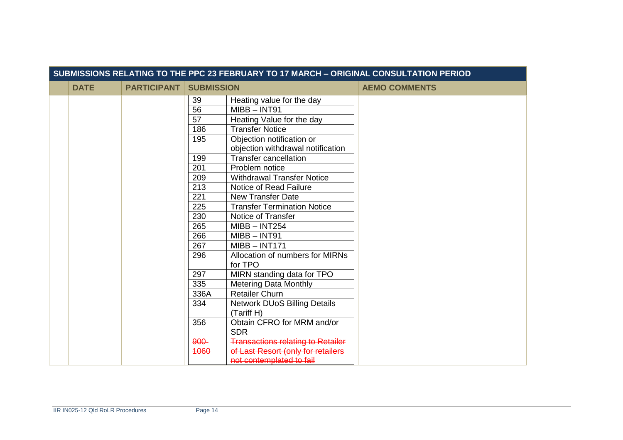| SUBMISSIONS RELATING TO THE PPC 23 FEBRUARY TO 17 MARCH - ORIGINAL CONSULTATION PERIOD |             |                    |                        |                                                                |                      |
|----------------------------------------------------------------------------------------|-------------|--------------------|------------------------|----------------------------------------------------------------|----------------------|
|                                                                                        | <b>DATE</b> | <b>PARTICIPANT</b> | <b>SUBMISSION</b>      |                                                                | <b>AEMO COMMENTS</b> |
|                                                                                        |             |                    | 39                     | Heating value for the day                                      |                      |
|                                                                                        |             |                    | 56                     | $MIBB - INT91$                                                 |                      |
|                                                                                        |             |                    | 57                     | Heating Value for the day                                      |                      |
|                                                                                        |             |                    | 186                    | <b>Transfer Notice</b>                                         |                      |
|                                                                                        |             |                    | 195                    | Objection notification or<br>objection withdrawal notification |                      |
|                                                                                        |             |                    | 199                    | <b>Transfer cancellation</b>                                   |                      |
|                                                                                        |             |                    | 201                    | Problem notice                                                 |                      |
|                                                                                        |             |                    | 209                    | <b>Withdrawal Transfer Notice</b>                              |                      |
|                                                                                        |             |                    | 213                    | Notice of Read Failure                                         |                      |
|                                                                                        |             |                    | 221                    | <b>New Transfer Date</b>                                       |                      |
|                                                                                        |             |                    | 225                    | <b>Transfer Termination Notice</b>                             |                      |
|                                                                                        |             |                    | 230                    | Notice of Transfer                                             |                      |
|                                                                                        |             |                    | 265                    | $MIBB - INT254$                                                |                      |
|                                                                                        |             |                    | 266<br>$MIBB - INT91$  |                                                                |                      |
|                                                                                        |             |                    | 267<br>$MIBB - INT171$ |                                                                |                      |
|                                                                                        |             |                    | 296                    | Allocation of numbers for MIRNs<br>for TPO                     |                      |
|                                                                                        |             |                    | 297                    | MIRN standing data for TPO                                     |                      |
|                                                                                        |             |                    | 335                    | <b>Metering Data Monthly</b>                                   |                      |
|                                                                                        |             |                    | 336A                   | <b>Retailer Churn</b>                                          |                      |
|                                                                                        |             |                    | 334                    | <b>Network DUoS Billing Details</b>                            |                      |
|                                                                                        |             |                    |                        | (Tariff H)                                                     |                      |
|                                                                                        |             |                    | 356                    | Obtain CFRO for MRM and/or                                     |                      |
|                                                                                        |             |                    |                        | <b>SDR</b>                                                     |                      |
|                                                                                        |             |                    | 900-                   | <b>Transactions relating to Retailer</b>                       |                      |
|                                                                                        |             |                    | 4060                   | of Last Resort (only for retailers                             |                      |
|                                                                                        |             |                    |                        | not contemplated to fail                                       |                      |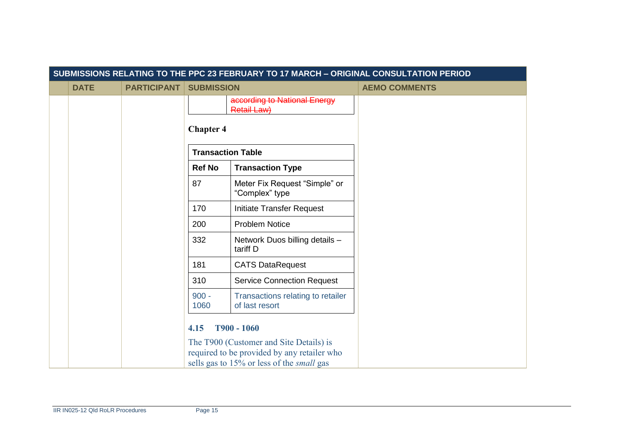| SUBMISSIONS RELATING TO THE PPC 23 FEBRUARY TO 17 MARCH - ORIGINAL CONSULTATION PERIOD |             |                    |                          |                                                                                                 |                      |
|----------------------------------------------------------------------------------------|-------------|--------------------|--------------------------|-------------------------------------------------------------------------------------------------|----------------------|
|                                                                                        | <b>DATE</b> | <b>PARTICIPANT</b> | <b>SUBMISSION</b>        |                                                                                                 | <b>AEMO COMMENTS</b> |
|                                                                                        |             |                    |                          | according to National Energy<br><b>Retail Law)</b>                                              |                      |
|                                                                                        |             |                    | <b>Chapter 4</b>         |                                                                                                 |                      |
|                                                                                        |             |                    | <b>Transaction Table</b> |                                                                                                 |                      |
|                                                                                        |             |                    | <b>Ref No</b>            | <b>Transaction Type</b>                                                                         |                      |
|                                                                                        |             |                    | 87                       | Meter Fix Request "Simple" or<br>"Complex" type                                                 |                      |
|                                                                                        |             |                    | 170                      | Initiate Transfer Request                                                                       |                      |
|                                                                                        |             |                    | 200                      | <b>Problem Notice</b>                                                                           |                      |
|                                                                                        |             |                    | 332                      | Network Duos billing details -<br>tariff D                                                      |                      |
|                                                                                        |             |                    | 181                      | <b>CATS DataRequest</b>                                                                         |                      |
|                                                                                        |             |                    | 310                      | <b>Service Connection Request</b>                                                               |                      |
|                                                                                        |             |                    | $900 -$<br>1060          | Transactions relating to retailer<br>of last resort                                             |                      |
|                                                                                        |             |                    | T900 - 1060<br>4.15      |                                                                                                 |                      |
|                                                                                        |             |                    |                          | The T900 (Customer and Site Details) is                                                         |                      |
|                                                                                        |             |                    |                          | required to be provided by any retailer who<br>sells gas to 15% or less of the <i>small</i> gas |                      |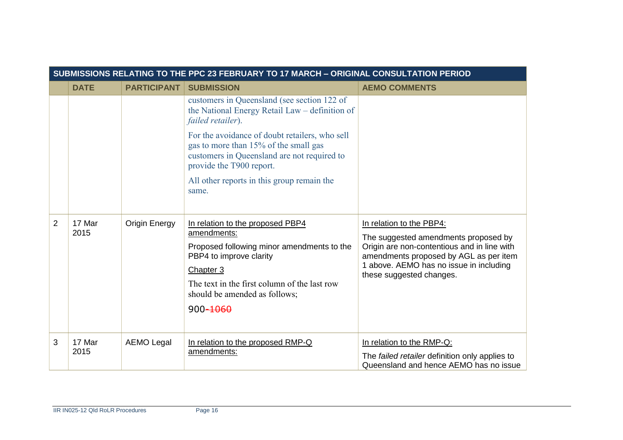| SUBMISSIONS RELATING TO THE PPC 23 FEBRUARY TO 17 MARCH - ORIGINAL CONSULTATION PERIOD |                |                      |                                                                                                                                                                                                                                    |                                                                                                                                                                                                                                  |
|----------------------------------------------------------------------------------------|----------------|----------------------|------------------------------------------------------------------------------------------------------------------------------------------------------------------------------------------------------------------------------------|----------------------------------------------------------------------------------------------------------------------------------------------------------------------------------------------------------------------------------|
|                                                                                        | <b>DATE</b>    | <b>PARTICIPANT</b>   | <b>SUBMISSION</b>                                                                                                                                                                                                                  | <b>AEMO COMMENTS</b>                                                                                                                                                                                                             |
|                                                                                        |                |                      | customers in Queensland (see section 122 of<br>the National Energy Retail Law – definition of<br>failed retailer).                                                                                                                 |                                                                                                                                                                                                                                  |
|                                                                                        |                |                      | For the avoidance of doubt retailers, who sell<br>gas to more than 15% of the small gas<br>customers in Queensland are not required to<br>provide the T900 report.                                                                 |                                                                                                                                                                                                                                  |
|                                                                                        |                |                      | All other reports in this group remain the<br>same.                                                                                                                                                                                |                                                                                                                                                                                                                                  |
| $\overline{2}$                                                                         | 17 Mar<br>2015 | <b>Origin Energy</b> | In relation to the proposed PBP4<br>amendments:<br>Proposed following minor amendments to the<br>PBP4 to improve clarity<br>Chapter 3<br>The text in the first column of the last row<br>should be amended as follows;<br>900-1060 | In relation to the PBP4:<br>The suggested amendments proposed by<br>Origin are non-contentious and in line with<br>amendments proposed by AGL as per item<br>1 above. AEMO has no issue in including<br>these suggested changes. |
| 3                                                                                      | 17 Mar<br>2015 | <b>AEMO Legal</b>    | In relation to the proposed RMP-Q<br>amendments:                                                                                                                                                                                   | In relation to the RMP-Q:<br>The failed retailer definition only applies to<br>Queensland and hence AEMO has no issue                                                                                                            |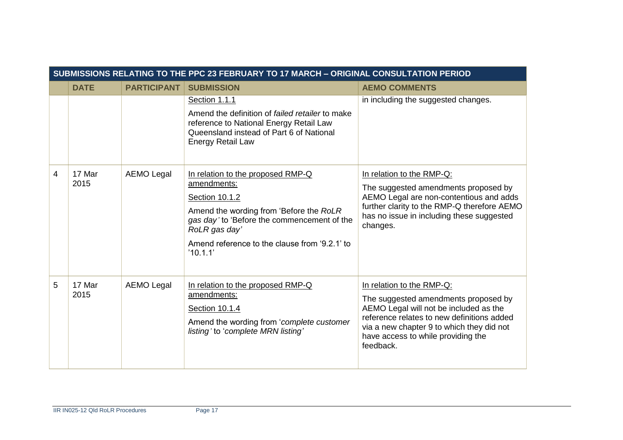| SUBMISSIONS RELATING TO THE PPC 23 FEBRUARY TO 17 MARCH - ORIGINAL CONSULTATION PERIOD |                |                    |                                                                                                                                                                                                                                            |                                                                                                                                                                                                                                                           |
|----------------------------------------------------------------------------------------|----------------|--------------------|--------------------------------------------------------------------------------------------------------------------------------------------------------------------------------------------------------------------------------------------|-----------------------------------------------------------------------------------------------------------------------------------------------------------------------------------------------------------------------------------------------------------|
|                                                                                        | <b>DATE</b>    | <b>PARTICIPANT</b> | <b>SUBMISSION</b>                                                                                                                                                                                                                          | <b>AEMO COMMENTS</b>                                                                                                                                                                                                                                      |
|                                                                                        |                |                    | Section 1.1.1<br>Amend the definition of failed retailer to make<br>reference to National Energy Retail Law<br>Queensland instead of Part 6 of National<br><b>Energy Retail Law</b>                                                        | in including the suggested changes.                                                                                                                                                                                                                       |
| 4                                                                                      | 17 Mar<br>2015 | <b>AEMO Legal</b>  | In relation to the proposed RMP-Q<br>amendments:<br>Section 10.1.2<br>Amend the wording from 'Before the RoLR<br>gas day' to 'Before the commencement of the<br>RoLR gas day'<br>Amend reference to the clause from '9.2.1' to<br>'10.1.1' | In relation to the RMP-Q:<br>The suggested amendments proposed by<br>AEMO Legal are non-contentious and adds<br>further clarity to the RMP-Q therefore AEMO<br>has no issue in including these suggested<br>changes.                                      |
| 5                                                                                      | 17 Mar<br>2015 | <b>AEMO Legal</b>  | In relation to the proposed RMP-Q<br>amendments:<br>Section 10.1.4<br>Amend the wording from 'complete customer<br>listing' to 'complete MRN listing'                                                                                      | In relation to the RMP-Q:<br>The suggested amendments proposed by<br>AEMO Legal will not be included as the<br>reference relates to new definitions added<br>via a new chapter 9 to which they did not<br>have access to while providing the<br>feedback. |